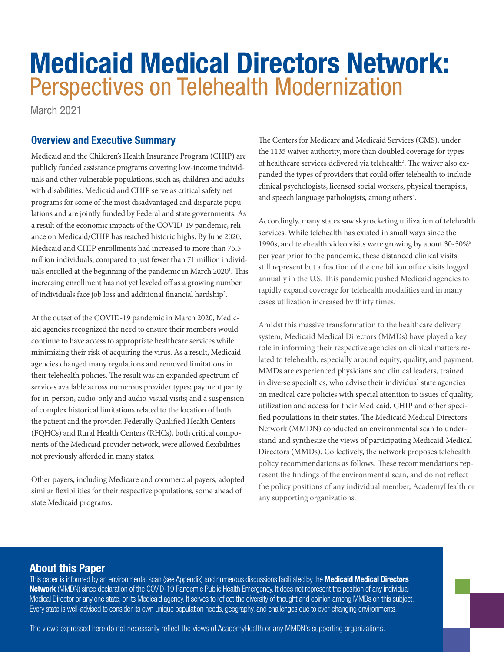# Medicaid Medical Directors Network: Perspectives on Telehealth Modernization

March 2021

# Overview and Executive Summary

Medicaid and the Children's Health Insurance Program (CHIP) are publicly funded assistance programs covering low-income individuals and other vulnerable populations, such as, children and adults with disabilities. Medicaid and CHIP serve as critical safety net programs for some of the most disadvantaged and disparate populations and are jointly funded by Federal and state governments. As a result of the economic impacts of the COVID-19 pandemic, reliance on Medicaid/CHIP has reached historic highs. By June 2020, Medicaid and CHIP enrollments had increased to more than 75.5 million individuals, compared to just fewer than 71 million individuals enrolled at the beginning of the pandemic in March 2020<sup>1</sup>. This increasing enrollment has not yet leveled off as a growing number of individuals face job loss and additional financial hardship<sup>2</sup>.

At the outset of the COVID-19 pandemic in March 2020, Medicaid agencies recognized the need to ensure their members would continue to have access to appropriate healthcare services while minimizing their risk of acquiring the virus. As a result, Medicaid agencies changed many regulations and removed limitations in their telehealth policies. The result was an expanded spectrum of services available across numerous provider types; payment parity for in-person, audio-only and audio-visual visits; and a suspension of complex historical limitations related to the location of both the patient and the provider. Federally Qualified Health Centers (FQHCs) and Rural Health Centers (RHCs), both critical components of the Medicaid provider network, were allowed flexibilities not previously afforded in many states.

Other payers, including Medicare and commercial payers, adopted similar flexibilities for their respective populations, some ahead of state Medicaid programs.

The Centers for Medicare and Medicaid Services (CMS), under the 1135 waiver authority, more than doubled coverage for types of healthcare services delivered via telehealth<sup>3</sup>. The waiver also expanded the types of providers that could offer telehealth to include clinical psychologists, licensed social workers, physical therapists, and speech language pathologists, among others<sup>4</sup>.

Accordingly, many states saw skyrocketing utilization of telehealth services. While telehealth has existed in small ways since the 1990s, and telehealth video visits were growing by about 30-50%5 per year prior to the pandemic, these distanced clinical visits still represent but a fraction of the one billion office visits logged annually in the U.S. This pandemic pushed Medicaid agencies to rapidly expand coverage for telehealth modalities and in many cases utilization increased by thirty times.

Amidst this massive transformation to the healthcare delivery system, Medicaid Medical Directors (MMDs) have played a key role in informing their respective agencies on clinical matters related to telehealth, especially around equity, quality, and payment. MMDs are experienced physicians and clinical leaders, trained in diverse specialties, who advise their individual state agencies on medical care policies with special attention to issues of quality, utilization and access for their Medicaid, CHIP and other specified populations in their states. The Medicaid Medical Directors Network (MMDN) conducted an environmental scan to understand and synthesize the views of participating Medicaid Medical Directors (MMDs). Collectively, the network proposes telehealth policy recommendations as follows. These recommendations represent the findings of the environmental scan, and do not reflect the policy positions of any individual member, AcademyHealth or any supporting organizations.

# About this Paper

This paper is informed by an environmental scan (see Appendix) and numerous discussions facilitated by the Medicaid Medical Directors [Network](https://academyhealth.org/about/programs/medicaid-medical-directors-network-mmdn) (MMDN) since declaration of the COVID-19 Pandemic Public Health Emergency. It does not represent the position of any individual Medical Director or any one state, or its Medicaid agency. It serves to reflect the diversity of thought and opinion among MMDs on this subject. Every state is well-advised to consider its own unique population needs, geography, and challenges due to ever-changing environments.

The views expressed here do not necessarily reflect the views of AcademyHealth or any MMDN's supporting organizations.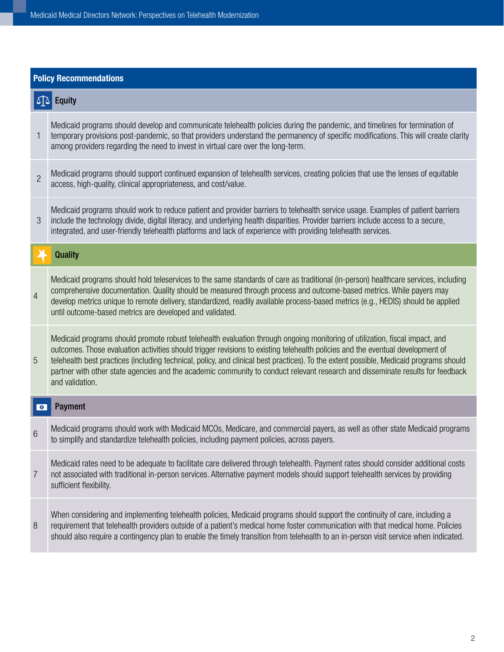| <b>Policy Recommendations</b> |                                                                                                                                                                                                                                                                                                                                                                                                                                                                                                                                                              |
|-------------------------------|--------------------------------------------------------------------------------------------------------------------------------------------------------------------------------------------------------------------------------------------------------------------------------------------------------------------------------------------------------------------------------------------------------------------------------------------------------------------------------------------------------------------------------------------------------------|
| $\Delta$<br><b>Equity</b>     |                                                                                                                                                                                                                                                                                                                                                                                                                                                                                                                                                              |
| 1                             | Medicaid programs should develop and communicate telehealth policies during the pandemic, and timelines for termination of<br>temporary provisions post-pandemic, so that providers understand the permanency of specific modifications. This will create clarity<br>among providers regarding the need to invest in virtual care over the long-term.                                                                                                                                                                                                        |
| $\overline{2}$                | Medicaid programs should support continued expansion of telehealth services, creating policies that use the lenses of equitable<br>access, high-quality, clinical appropriateness, and cost/value.                                                                                                                                                                                                                                                                                                                                                           |
| 3                             | Medicaid programs should work to reduce patient and provider barriers to telehealth service usage. Examples of patient barriers<br>include the technology divide, digital literacy, and underlying health disparities. Provider barriers include access to a secure,<br>integrated, and user-friendly telehealth platforms and lack of experience with providing telehealth services.                                                                                                                                                                        |
|                               | <b>Quality</b>                                                                                                                                                                                                                                                                                                                                                                                                                                                                                                                                               |
| $\overline{4}$                | Medicaid programs should hold teleservices to the same standards of care as traditional (in-person) healthcare services, including<br>comprehensive documentation. Quality should be measured through process and outcome-based metrics. While payers may<br>develop metrics unique to remote delivery, standardized, readily available process-based metrics (e.g., HEDIS) should be applied<br>until outcome-based metrics are developed and validated.                                                                                                    |
| 5                             | Medicaid programs should promote robust telehealth evaluation through ongoing monitoring of utilization, fiscal impact, and<br>outcomes. Those evaluation activities should trigger revisions to existing telehealth policies and the eventual development of<br>telehealth best practices (including technical, policy, and clinical best practices). To the extent possible, Medicaid programs should<br>partner with other state agencies and the academic community to conduct relevant research and disseminate results for feedback<br>and validation. |
| <b>Payment</b><br>$\bullet$   |                                                                                                                                                                                                                                                                                                                                                                                                                                                                                                                                                              |
| 6                             | Medicaid programs should work with Medicaid MCOs, Medicare, and commercial payers, as well as other state Medicaid programs<br>to simplify and standardize telehealth policies, including payment policies, across payers.                                                                                                                                                                                                                                                                                                                                   |
| 7                             | Medicaid rates need to be adequate to facilitate care delivered through telehealth. Payment rates should consider additional costs<br>not associated with traditional in-person services. Alternative payment models should support telehealth services by providing<br>sufficient flexibility.                                                                                                                                                                                                                                                              |
| 8                             | When considering and implementing telehealth policies, Medicaid programs should support the continuity of care, including a<br>requirement that telehealth providers outside of a patient's medical home foster communication with that medical home. Policies<br>should also require a contingency plan to enable the timely transition from telehealth to an in-person visit service when indicated.                                                                                                                                                       |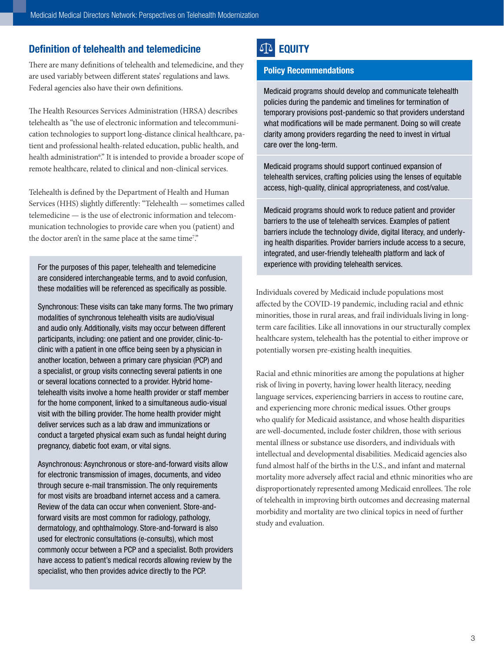# Definition of telehealth and telemedicine

There are many definitions of telehealth and telemedicine, and they are used variably between different states' regulations and laws. Federal agencies also have their own definitions.

The Health Resources Services Administration (HRSA) describes telehealth as "the use of electronic information and telecommunication technologies to support long-distance clinical healthcare, patient and professional health-related education, public health, and health administration<sup>6</sup>." It is intended to provide a broader scope of remote healthcare, related to clinical and non-clinical services.

Telehealth is defined by the Department of Health and Human Services (HHS) slightly differently: "Telehealth — sometimes called telemedicine — is the use of electronic information and telecommunication technologies to provide care when you (patient) and the doctor aren't in the same place at the same time<sup>7</sup>."

For the purposes of this paper, telehealth and telemedicine are considered interchangeable terms, and to avoid confusion, these modalities will be referenced as specifically as possible.

Synchronous: These visits can take many forms. The two primary modalities of synchronous telehealth visits are audio/visual and audio only. Additionally, visits may occur between different participants, including: one patient and one provider, clinic-toclinic with a patient in one office being seen by a physician in another location, between a primary care physician (PCP) and a specialist, or group visits connecting several patients in one or several locations connected to a provider. Hybrid hometelehealth visits involve a home health provider or staff member for the home component, linked to a simultaneous audio-visual visit with the billing provider. The home health provider might deliver services such as a lab draw and immunizations or conduct a targeted physical exam such as fundal height during pregnancy, diabetic foot exam, or vital signs.

Asynchronous: Asynchronous or store-and-forward visits allow for electronic transmission of images, documents, and video through secure e-mail transmission. The only requirements for most visits are broadband internet access and a camera. Review of the data can occur when convenient. Store-andforward visits are most common for radiology, pathology, dermatology, and ophthalmology. Store-and-forward is also used for electronic consultations (e-consults), which most commonly occur between a PCP and a specialist. Both providers have access to patient's medical records allowing review by the specialist, who then provides advice directly to the PCP.

# **SA EQUITY**

#### Policy Recommendations

Medicaid programs should develop and communicate telehealth policies during the pandemic and timelines for termination of temporary provisions post-pandemic so that providers understand what modifications will be made permanent. Doing so will create clarity among providers regarding the need to invest in virtual care over the long-term.

Medicaid programs should support continued expansion of telehealth services, crafting policies using the lenses of equitable access, high-quality, clinical appropriateness, and cost/value.

Medicaid programs should work to reduce patient and provider barriers to the use of telehealth services. Examples of patient barriers include the technology divide, digital literacy, and underlying health disparities. Provider barriers include access to a secure, integrated, and user-friendly telehealth platform and lack of experience with providing telehealth services.

Individuals covered by Medicaid include populations most affected by the COVID-19 pandemic, including racial and ethnic minorities, those in rural areas, and frail individuals living in longterm care facilities. Like all innovations in our structurally complex healthcare system, telehealth has the potential to either improve or potentially worsen pre-existing health inequities.

Racial and ethnic minorities are among the populations at higher risk of living in poverty, having lower health literacy, needing language services, experiencing barriers in access to routine care, and experiencing more chronic medical issues. Other groups who qualify for Medicaid assistance, and whose health disparities are well-documented, include foster children, those with serious mental illness or substance use disorders, and individuals with intellectual and developmental disabilities. Medicaid agencies also fund almost half of the births in the U.S., and infant and maternal mortality more adversely affect racial and ethnic minorities who are disproportionately represented among Medicaid enrollees. The role of telehealth in improving birth outcomes and decreasing maternal morbidity and mortality are two clinical topics in need of further study and evaluation.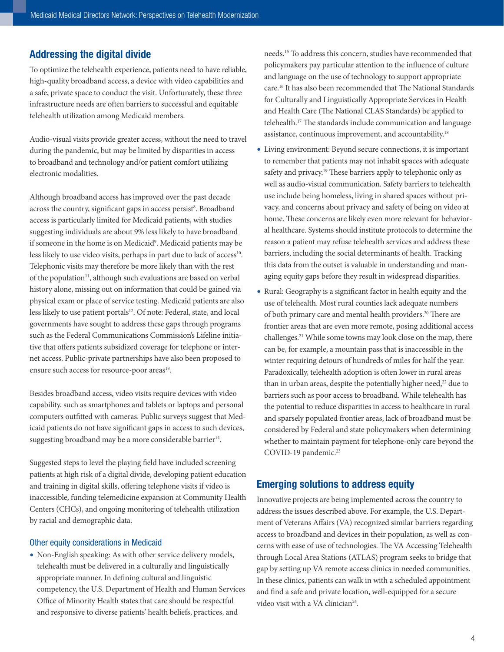## Addressing the digital divide

To optimize the telehealth experience, patients need to have reliable, high-quality broadband access, a device with video capabilities and a safe, private space to conduct the visit. Unfortunately, these three infrastructure needs are often barriers to successful and equitable telehealth utilization among Medicaid members.

Audio-visual visits provide greater access, without the need to travel during the pandemic, but may be limited by disparities in access to broadband and technology and/or patient comfort utilizing electronic modalities.

Although broadband access has improved over the past decade across the country, significant gaps in access persist<sup>8</sup>. Broadband access is particularly limited for Medicaid patients, with studies suggesting individuals are about 9% less likely to have broadband if someone in the home is on Medicaid<sup>9</sup>. Medicaid patients may be less likely to use video visits, perhaps in part due to lack of access<sup>10</sup>. Telephonic visits may therefore be more likely than with the rest of the population<sup>11</sup>, although such evaluations are based on verbal history alone, missing out on information that could be gained via physical exam or place of service testing. Medicaid patients are also less likely to use patient portals<sup>12</sup>. Of note: Federal, state, and local governments have sought to address these gaps through programs such as the Federal Communications Commission's [Lifeline](https://www.fcc.gov/lifeline-consumers) initiative that offers patients subsidized coverage for telephone or internet access. Public-private partnerships have also been proposed to ensure such access for resource-poor areas<sup>13</sup>.

Besides broadband access, video visits require devices with video capability, such as smartphones and tablets or laptops and personal computers outfitted with cameras. Public surveys suggest that Medicaid patients do not have significant gaps in access to such devices, suggesting broadband may be a more considerable barrier<sup>14</sup>.

Suggested steps to level the playing field have included screening patients at high risk of a digital divide, developing patient education and training in digital skills, offering telephone visits if video is inaccessible, funding telemedicine expansion at Community Health Centers (CHCs), and ongoing monitoring of telehealth utilization by racial and demographic data.

#### Other equity considerations in Medicaid

• Non-English speaking: As with other service delivery models, telehealth must be delivered in a culturally and linguistically appropriate manner. In defining cultural and linguistic competency, the U.S. Department of Health and Human Services Office of Minority Health states that care should be respectful and responsive to diverse patients' health beliefs, practices, and

needs.15 To address this concern, studies have recommended that policymakers pay particular attention to the influence of culture and language on the use of technology to support appropriate care.16 It has also been recommended that The National Standards for Culturally and Linguistically Appropriate Services in Health and Health Care (The National CLAS Standards) be applied to telehealth.17 The standards include communication and language assistance, continuous improvement, and accountability.18

- Living environment: Beyond secure connections, it is important to remember that patients may not inhabit spaces with adequate safety and privacy.<sup>19</sup> These barriers apply to telephonic only as well as audio-visual communication. Safety barriers to telehealth use include being homeless, living in shared spaces without privacy, and concerns about privacy and safety of being on video at home. These concerns are likely even more relevant for behavioral healthcare. Systems should institute protocols to determine the reason a patient may refuse telehealth services and address these barriers, including the social determinants of health. Tracking this data from the outset is valuable in understanding and managing equity gaps before they result in widespread disparities.
- Rural: Geography is a significant factor in health equity and the use of telehealth. Most rural counties lack adequate numbers of both primary care and mental health providers.<sup>20</sup> There are frontier areas that are even more remote, posing additional access challenges.<sup>21</sup> While some towns may look close on the map, there can be, for example, a mountain pass that is inaccessible in the winter requiring detours of hundreds of miles for half the year. Paradoxically, telehealth adoption is often lower in rural areas than in urban areas, despite the potentially higher need,<sup>22</sup> due to barriers such as poor access to broadband. While telehealth has the potential to reduce disparities in access to healthcare in rural and sparsely populated frontier areas, lack of broadband must be considered by Federal and state policymakers when determining whether to maintain payment for telephone-only care beyond the COVID-19 pandemic.<sup>23</sup>

# Emerging solutions to address equity

Innovative projects are being implemented across the country to address the issues described above. For example, the U.S. Department of Veterans Affairs (VA) recognized similar barriers regarding access to broadband and devices in their population, as well as concerns with ease of use of technologies. The VA Accessing Telehealth through Local Area Stations ([ATLAS\)](https://connectedcare.va.gov/partners/atlas) program seeks to bridge that gap by setting up VA remote access clinics in needed communities. In these clinics, patients can walk in with a scheduled appointment and find a safe and private location, well-equipped for a secure video visit with a VA clinician<sup>24</sup>.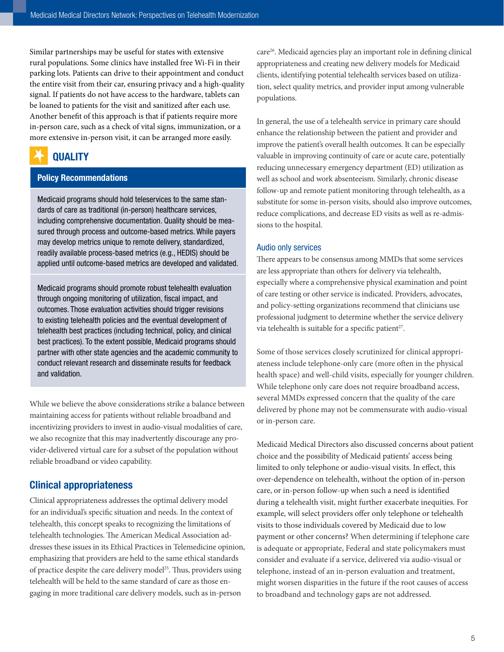Similar partnerships may be useful for states with extensive rural populations. Some clinics have installed free Wi-Fi in their parking lots. Patients can drive to their appointment and conduct the entire visit from their car, ensuring privacy and a high-quality signal. If patients do not have access to the hardware, tablets can be loaned to patients for the visit and sanitized after each use. Another benefit of this approach is that if patients require more in-person care, such as a check of vital signs, immunization, or a more extensive in-person visit, it can be arranged more easily.

# **QUALITY**

# Policy Recommendations

Medicaid programs should hold teleservices to the same standards of care as traditional (in-person) healthcare services, including comprehensive documentation. Quality should be measured through process and outcome-based metrics. While payers may develop metrics unique to remote delivery, standardized, readily available process-based metrics (e.g., HEDIS) should be applied until outcome-based metrics are developed and validated.

Medicaid programs should promote robust telehealth evaluation through ongoing monitoring of utilization, fiscal impact, and outcomes. Those evaluation activities should trigger revisions to existing telehealth policies and the eventual development of telehealth best practices (including technical, policy, and clinical best practices). To the extent possible, Medicaid programs should partner with other state agencies and the academic community to conduct relevant research and disseminate results for feedback and validation.

While we believe the above considerations strike a balance between maintaining access for patients without reliable broadband and incentivizing providers to invest in audio-visual modalities of care, we also recognize that this may inadvertently discourage any provider-delivered virtual care for a subset of the population without reliable broadband or video capability.

# Clinical appropriateness

Clinical appropriateness addresses the optimal delivery model for an individual's specific situation and needs. In the context of telehealth, this concept speaks to recognizing the limitations of telehealth technologies. The American Medical Association addresses these issues in its [Ethical Practices in Telemedicine](https://www.ama-assn.org/delivering-care/ethics/ethical-practice-telemedicine) opinion, emphasizing that providers are held to the same ethical standards of practice despite the care delivery model25. Thus, providers using telehealth will be held to the same standard of care as those engaging in more traditional care delivery models, such as in-person

care26. Medicaid agencies play an important role in defining clinical appropriateness and creating new delivery models for Medicaid clients, identifying potential telehealth services based on utilization, select quality metrics, and provider input among vulnerable populations.

In general, the use of a telehealth service in primary care should enhance the relationship between the patient and provider and improve the patient's overall health outcomes. It can be especially valuable in improving continuity of care or acute care, potentially reducing unnecessary emergency department (ED) utilization as well as school and work absenteeism. Similarly, chronic disease follow-up and remote patient monitoring through telehealth, as a substitute for some in-person visits, should also improve outcomes, reduce complications, and decrease ED visits as well as re-admissions to the hospital.

#### Audio only services

There appears to be consensus among MMDs that some services are less appropriate than others for delivery via telehealth, especially where a comprehensive physical examination and point of care testing or other service is indicated. Providers, advocates, and policy-setting organizations recommend that clinicians use professional judgment to determine whether the service delivery via telehealth is suitable for a specific patient<sup>27</sup>.

Some of those services closely scrutinized for clinical appropriateness include telephone-only care (more often in the physical health space) and well-child visits, especially for younger children. While telephone only care does not require broadband access, several MMDs expressed concern that the quality of the care delivered by phone may not be commensurate with audio-visual or in-person care.

Medicaid Medical Directors also discussed concerns about patient choice and the possibility of Medicaid patients' access being limited to only telephone or audio-visual visits. In effect, this over-dependence on telehealth, without the option of in-person care, or in-person follow-up when such a need is identified during a telehealth visit, might further exacerbate inequities. For example, will select providers offer only telephone or telehealth visits to those individuals covered by Medicaid due to low payment or other concerns? When determining if telephone care is adequate or appropriate, Federal and state policymakers must consider and evaluate if a service, delivered via audio-visual or telephone, instead of an in-person evaluation and treatment, might worsen disparities in the future if the root causes of access to broadband and technology gaps are not addressed.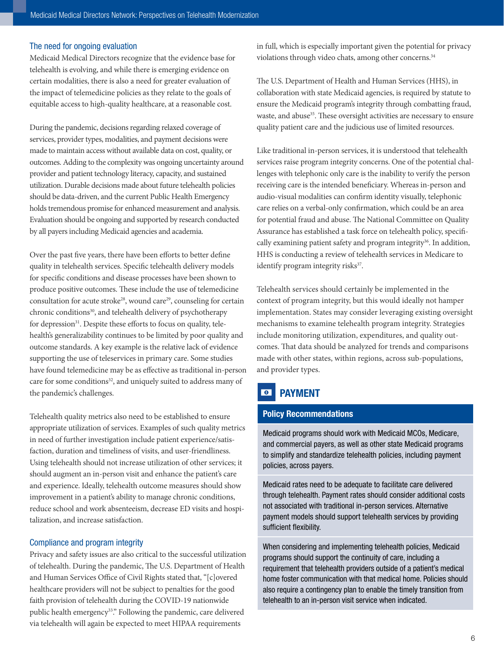#### The need for ongoing evaluation

Medicaid Medical Directors recognize that the evidence base for telehealth is evolving, and while there is emerging evidence on certain modalities, there is also a need for greater evaluation of the impact of telemedicine policies as they relate to the goals of equitable access to high-quality healthcare, at a reasonable cost.

During the pandemic, decisions regarding relaxed coverage of services, provider types, modalities, and payment decisions were made to maintain access without available data on cost, quality, or outcomes. Adding to the complexity was ongoing uncertainty around provider and patient technology literacy, capacity, and sustained utilization. Durable decisions made about future telehealth policies should be data-driven, and the current Public Health Emergency holds tremendous promise for enhanced measurement and analysis. Evaluation should be ongoing and supported by research conducted by all payers including Medicaid agencies and academia.

Over the past five years, there have been efforts to better define quality in telehealth services. Specific telehealth delivery models for specific conditions and disease processes have been shown to produce positive outcomes. These include the use of telemedicine consultation for acute stroke<sup>28</sup>, wound care<sup>29</sup>, counseling for certain chronic conditions<sup>30</sup>, and telehealth delivery of psychotherapy for depression<sup>31</sup>. Despite these efforts to focus on quality, telehealth's generalizability continues to be limited by poor quality and outcome standards. A key example is the relative lack of evidence supporting the use of teleservices in primary care. Some studies have found telemedicine may be as effective as traditional in-person care for some conditions<sup>32</sup>, and uniquely suited to address many of the pandemic's challenges.

Telehealth quality metrics also need to be established to ensure appropriate utilization of services. Examples of such quality metrics in need of further investigation include patient experience/satisfaction, duration and timeliness of visits, and user-friendliness. Using telehealth should not increase utilization of other services; it should augment an in-person visit and enhance the patient's care and experience. Ideally, telehealth outcome measures should show improvement in a patient's ability to manage chronic conditions, reduce school and work absenteeism, decrease ED visits and hospitalization, and increase satisfaction.

#### Compliance and program integrity

Privacy and safety issues are also critical to the successful utilization of telehealth. During the pandemic, The U.S. Department of Health and Human Services Office of Civil Rights stated that, "[c]overed healthcare providers will not be subject to penalties for the good faith provision of telehealth during the COVID-19 nationwide public health emergency<sup>33</sup>." Following the pandemic, care delivered via telehealth will again be expected to meet HIPAA requirements

in full, which is especially important given the potential for privacy violations through video chats, among other concerns.<sup>34</sup>

The U.S. Department of Health and Human Services (HHS), in collaboration with state Medicaid agencies, is required by statute to ensure the Medicaid program's integrity through combatting fraud, waste, and abuse<sup>35</sup>. These oversight activities are necessary to ensure quality patient care and the judicious use of limited resources.

Like traditional in-person services, it is understood that telehealth services raise program integrity concerns. One of the potential challenges with telephonic only care is the inability to verify the person receiving care is the intended beneficiary. Whereas in-person and audio-visual modalities can confirm identity visually, telephonic care relies on a verbal-only confirmation, which could be an area for potential fraud and abuse. The National Committee on Quality Assurance has established a task force on telehealth policy, specifically examining patient safety and program integrity<sup>36</sup>. In addition, HHS is conducting a review of telehealth services in Medicare to identify program integrity risks<sup>37</sup>.

Telehealth services should certainly be implemented in the context of program integrity, but this would ideally not hamper implementation. States may consider leveraging existing oversight mechanisms to examine telehealth program integrity. Strategies include monitoring utilization, expenditures, and quality outcomes. That data should be analyzed for trends and comparisons made with other states, within regions, across sub-populations, and provider types.

# **PAYMENT**

#### Policy Recommendations

Medicaid programs should work with Medicaid MCOs, Medicare, and commercial payers, as well as other state Medicaid programs to simplify and standardize telehealth policies, including payment policies, across payers.

Medicaid rates need to be adequate to facilitate care delivered through telehealth. Payment rates should consider additional costs not associated with traditional in-person services. Alternative payment models should support telehealth services by providing sufficient flexibility.

When considering and implementing telehealth policies, Medicaid programs should support the continuity of care, including a requirement that telehealth providers outside of a patient's medical home foster communication with that medical home. Policies should also require a contingency plan to enable the timely transition from telehealth to an in-person visit service when indicated.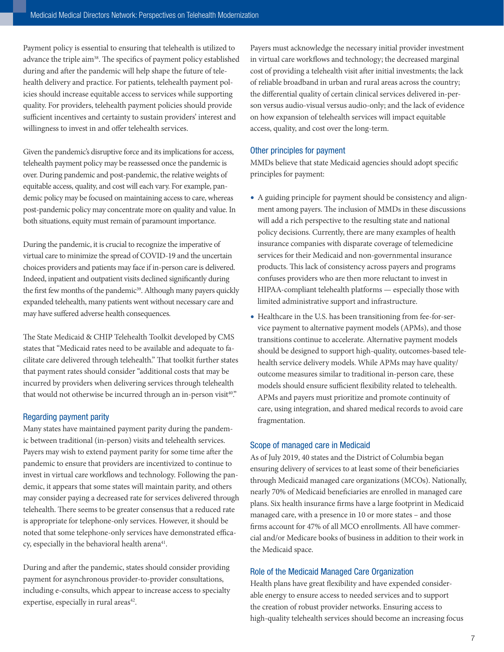Payment policy is essential to ensuring that telehealth is utilized to advance the triple aim<sup>38</sup>. The specifics of payment policy established during and after the pandemic will help shape the future of telehealth delivery and practice. For patients, telehealth payment policies should increase equitable access to services while supporting quality. For providers, telehealth payment policies should provide sufficient incentives and certainty to sustain providers' interest and willingness to invest in and offer telehealth services.

Given the pandemic's disruptive force and its implications for access, telehealth payment policy may be reassessed once the pandemic is over. During pandemic and post-pandemic, the relative weights of equitable access, quality, and cost will each vary. For example, pandemic policy may be focused on maintaining access to care, whereas post-pandemic policy may concentrate more on quality and value. In both situations, equity must remain of paramount importance.

During the pandemic, it is crucial to recognize the imperative of virtual care to minimize the spread of COVID-19 and the uncertain choices providers and patients may face if in-person care is delivered. Indeed, inpatient and outpatient visits declined significantly during the first few months of the pandemic<sup>39</sup>. Although many payers quickly expanded telehealth, many patients went without necessary care and may have suffered adverse health consequences.

The State Medicaid & CHIP Telehealth Toolkit developed by CMS states that "Medicaid rates need to be available and adequate to facilitate care delivered through telehealth." That toolkit further states that payment rates should consider "additional costs that may be incurred by providers when delivering services through telehealth that would not otherwise be incurred through an in-person visit<sup>40</sup>."

#### Regarding payment parity

Many states have maintained payment parity during the pandemic between traditional (in-person) visits and telehealth services. Payers may wish to extend payment parity for some time after the pandemic to ensure that providers are incentivized to continue to invest in virtual care workflows and technology. Following the pandemic, it appears that some states will maintain parity, and others may consider paying a decreased rate for services delivered through telehealth. There seems to be greater consensus that a reduced rate is appropriate for telephone-only services. However, it should be noted that some telephone-only services have demonstrated efficacy, especially in the behavioral health arena<sup>41</sup>.

During and after the pandemic, states should consider providing payment for asynchronous provider-to-provider consultations, including e-consults, which appear to increase access to specialty expertise, especially in rural areas<sup>42</sup>.

Payers must acknowledge the necessary initial provider investment in virtual care workflows and technology; the decreased marginal cost of providing a telehealth visit after initial investments; the lack of reliable broadband in urban and rural areas across the country; the differential quality of certain clinical services delivered in-person versus audio-visual versus audio-only; and the lack of evidence on how expansion of telehealth services will impact equitable access, quality, and cost over the long-term.

#### Other principles for payment

MMDs believe that state Medicaid agencies should adopt specific principles for payment:

- A guiding principle for payment should be consistency and alignment among payers. The inclusion of MMDs in these discussions will add a rich perspective to the resulting state and national policy decisions. Currently, there are many examples of health insurance companies with disparate coverage of telemedicine services for their Medicaid and non-governmental insurance products. This lack of consistency across payers and programs confuses providers who are then more reluctant to invest in HIPAA-compliant telehealth platforms — especially those with limited administrative support and infrastructure.
- Healthcare in the U.S. has been transitioning from fee-for-service payment to alternative payment models (APMs), and those transitions continue to accelerate. Alternative payment models should be designed to support high-quality, outcomes-based telehealth service delivery models. While APMs may have quality/ outcome measures similar to traditional in-person care, these models should ensure sufficient flexibility related to telehealth. APMs and payers must prioritize and promote continuity of care, using integration, and shared medical records to avoid care fragmentation.

#### Scope of managed care in Medicaid

As of July 2019, 40 states and the District of Columbia began ensuring delivery of services to at least some of their beneficiaries through Medicaid managed care organizations (MCOs). Nationally, nearly 70% of Medicaid beneficiaries are enrolled in managed care plans. Six health insurance firms have a large footprint in Medicaid managed care, with a presence in 10 or more states – and those firms account for 47% of all MCO enrollments. All have commercial and/or Medicare books of business in addition to their work in the Medicaid space.

#### Role of the Medicaid Managed Care Organization

Health plans have great flexibility and have expended considerable energy to ensure access to needed services and to support the creation of robust provider networks. Ensuring access to high-quality telehealth services should become an increasing focus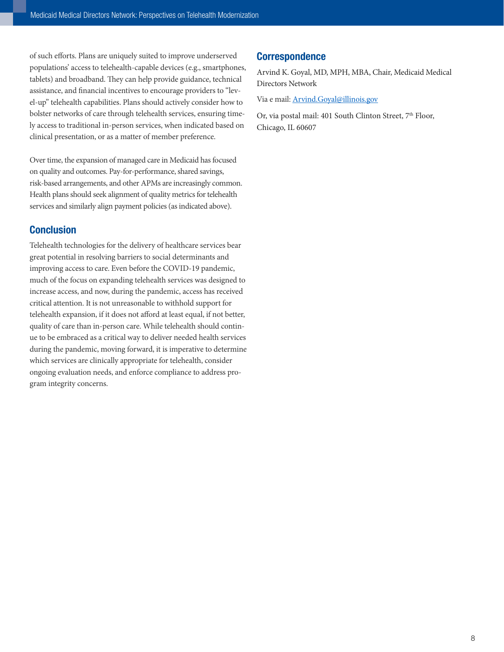of such efforts. Plans are uniquely suited to improve underserved populations' access to telehealth-capable devices (e.g., smartphones, tablets) and broadband. They can help provide guidance, technical assistance, and financial incentives to encourage providers to "level-up" telehealth capabilities. Plans should actively consider how to bolster networks of care through telehealth services, ensuring timely access to traditional in-person services, when indicated based on clinical presentation, or as a matter of member preference.

Over time, the expansion of managed care in Medicaid has focused on quality and outcomes. Pay-for-performance, shared savings, risk-based arrangements, and other APMs are increasingly common. Health plans should seek alignment of quality metrics for telehealth services and similarly align payment policies (as indicated above).

# **Conclusion**

Telehealth technologies for the delivery of healthcare services bear great potential in resolving barriers to social determinants and improving access to care. Even before the COVID-19 pandemic, much of the focus on expanding telehealth services was designed to increase access, and now, during the pandemic, access has received critical attention. It is not unreasonable to withhold support for telehealth expansion, if it does not afford at least equal, if not better, quality of care than in-person care. While telehealth should continue to be embraced as a critical way to deliver needed health services during the pandemic, moving forward, it is imperative to determine which services are clinically appropriate for telehealth, consider ongoing evaluation needs, and enforce compliance to address program integrity concerns.

# **Correspondence**

Arvind K. Goyal, MD, MPH, MBA, Chair, Medicaid Medical Directors Network

Via e mail: [Arvind.Goyal@illinois.gov](mailto:Arvind.Goyal@illinois.gov)

Or, via postal mail: 401 South Clinton Street, 7<sup>th</sup> Floor, Chicago, IL 60607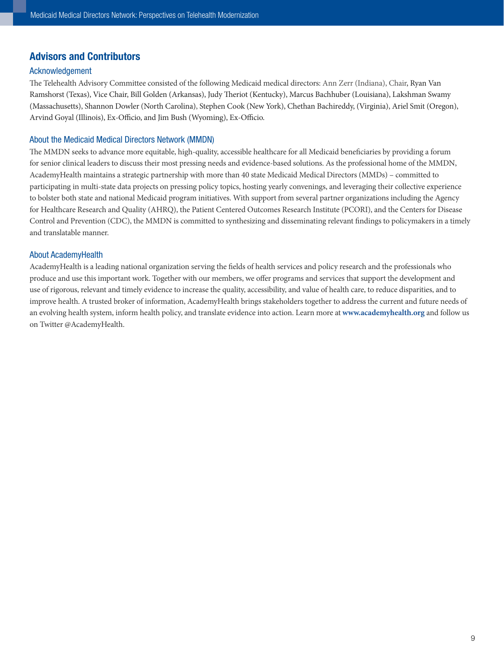# Advisors and Contributors

#### Acknowledgement

The Telehealth Advisory Committee consisted of the following Medicaid medical directors: Ann Zerr (Indiana), Chair, Ryan Van Ramshorst (Texas), Vice Chair, Bill Golden (Arkansas), Judy Theriot (Kentucky), Marcus Bachhuber (Louisiana), Lakshman Swamy (Massachusetts), Shannon Dowler (North Carolina), Stephen Cook (New York), Chethan Bachireddy, (Virginia), Ariel Smit (Oregon), Arvind Goyal (Illinois), Ex-Officio, and Jim Bush (Wyoming), Ex-Officio.

#### About the Medicaid Medical Directors Network (MMDN)

The MMDN seeks to advance more equitable, high-quality, accessible healthcare for all Medicaid beneficiaries by providing a forum for senior clinical leaders to discuss their most pressing needs and evidence-based solutions. As the professional home of the MMDN, AcademyHealth maintains a strategic partnership with more than 40 state Medicaid Medical Directors (MMDs) – committed to participating in multi-state data projects on pressing policy topics, hosting yearly convenings, and leveraging their collective experience to bolster both state and national Medicaid program initiatives. With support from several partner organizations including the Agency for Healthcare Research and Quality (AHRQ), the Patient Centered Outcomes Research Institute (PCORI), and the Centers for Disease Control and Prevention (CDC), the MMDN is committed to synthesizing and disseminating relevant findings to policymakers in a timely and translatable manner.

#### About AcademyHealth

AcademyHealth is a leading national organization serving the fields of health services and policy research and the professionals who produce and use this important work. Together with our members, we offer programs and services that support the development and use of rigorous, relevant and timely evidence to increase the quality, accessibility, and value of health care, to reduce disparities, and to improve health. A trusted broker of information, AcademyHealth brings stakeholders together to address the current and future needs of an evolving health system, inform health policy, and translate evidence into action. Learn more at **www.academyhealth.org** and follow us on Twitter @AcademyHealth.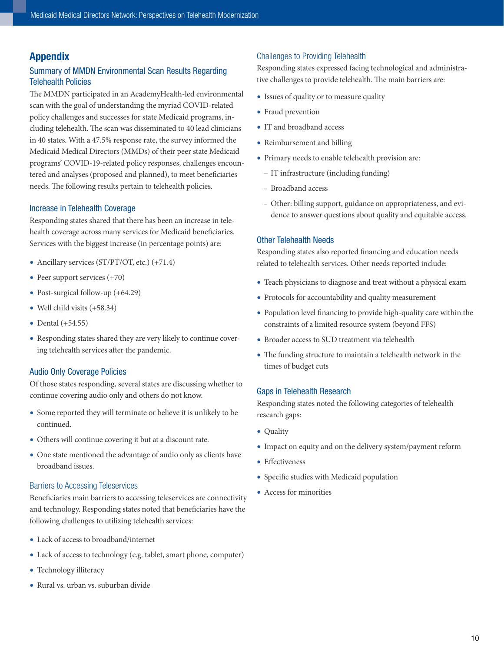# Appendix

# Summary of MMDN Environmental Scan Results Regarding Telehealth Policies

The MMDN participated in an AcademyHealth-led environmental scan with the goal of understanding the myriad COVID-related policy challenges and successes for state Medicaid programs, including telehealth. The scan was disseminated to 40 lead clinicians in 40 states. With a 47.5% response rate, the survey informed the Medicaid Medical Directors (MMDs) of their peer state Medicaid programs' COVID-19-related policy responses, challenges encountered and analyses (proposed and planned), to meet beneficiaries needs. The following results pertain to telehealth policies.

#### Increase in Telehealth Coverage

Responding states shared that there has been an increase in telehealth coverage across many services for Medicaid beneficiaries. Services with the biggest increase (in percentage points) are:

- Ancillary services (ST/PT/OT, etc.) (+71.4)
- Peer support services  $(+70)$
- Post-surgical follow-up (+64.29)
- Well child visits (+58.34)
- Dental (+54.55)
- Responding states shared they are very likely to continue covering telehealth services after the pandemic.

#### Audio Only Coverage Policies

Of those states responding, several states are discussing whether to continue covering audio only and others do not know.

- Some reported they will terminate or believe it is unlikely to be continued.
- Others will continue covering it but at a discount rate.
- One state mentioned the advantage of audio only as clients have broadband issues.

#### Barriers to Accessing Teleservices

Beneficiaries main barriers to accessing teleservices are connectivity and technology. Responding states noted that beneficiaries have the following challenges to utilizing telehealth services:

- Lack of access to broadband/internet
- Lack of access to technology (e.g. tablet, smart phone, computer)
- Technology illiteracy
- Rural vs. urban vs. suburban divide

#### Challenges to Providing Telehealth

Responding states expressed facing technological and administrative challenges to provide telehealth. The main barriers are:

- Issues of quality or to measure quality
- Fraud prevention
- IT and broadband access
- Reimbursement and billing
- Primary needs to enable telehealth provision are:
	- IT infrastructure (including funding)
	- Broadband access
	- Other: billing support, guidance on appropriateness, and evidence to answer questions about quality and equitable access.

#### Other Telehealth Needs

Responding states also reported financing and education needs related to telehealth services. Other needs reported include:

- Teach physicians to diagnose and treat without a physical exam
- Protocols for accountability and quality measurement
- Population level financing to provide high-quality care within the constraints of a limited resource system (beyond FFS)
- Broader access to SUD treatment via telehealth
- The funding structure to maintain a telehealth network in the times of budget cuts

#### Gaps in Telehealth Research

Responding states noted the following categories of telehealth research gaps:

- Quality
- Impact on equity and on the delivery system/payment reform
- Effectiveness
- Specific studies with Medicaid population
- Access for minorities